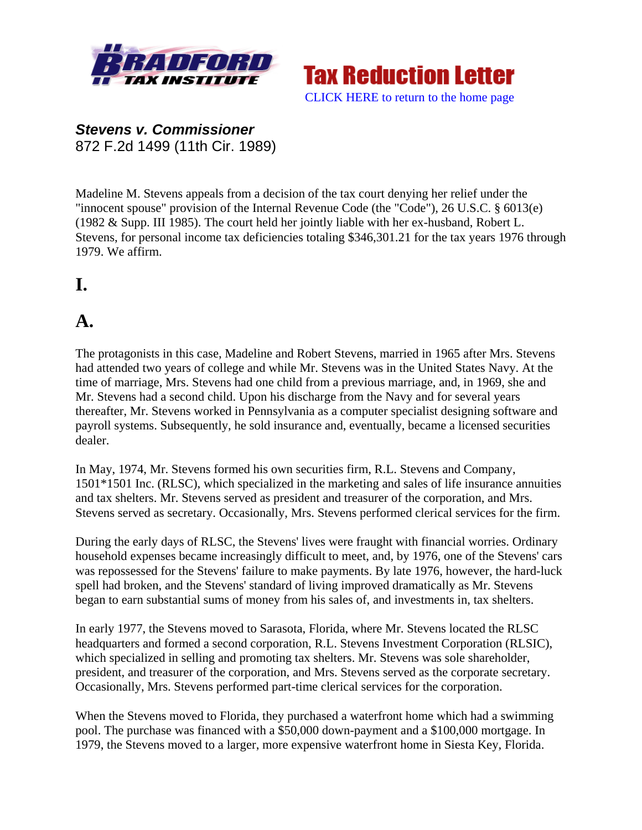



#### *Stevens v. Commissioner*  872 F.2d 1499 (11th Cir. 1989)

Madeline M. Stevens appeals from a decision of the tax court denying her relief under the "innocent spouse" provision of the Internal Revenue Code (the "Code"), 26 U.S.C. § 6013(e) (1982 & Supp. III 1985). The court held her jointly liable with her ex-husband, Robert L. Stevens, for personal income tax deficiencies totaling \$346,301.21 for the tax years 1976 through 1979. We affirm.

## **I.**

## **A.**

The protagonists in this case, Madeline and Robert Stevens, married in 1965 after Mrs. Stevens had attended two years of college and while Mr. Stevens was in the United States Navy. At the time of marriage, Mrs. Stevens had one child from a previous marriage, and, in 1969, she and Mr. Stevens had a second child. Upon his discharge from the Navy and for several years thereafter, Mr. Stevens worked in Pennsylvania as a computer specialist designing software and payroll systems. Subsequently, he sold insurance and, eventually, became a licensed securities dealer.

In May, 1974, Mr. Stevens formed his own securities firm, R.L. Stevens and Company, 1501\*1501 Inc. (RLSC), which specialized in the marketing and sales of life insurance annuities and tax shelters. Mr. Stevens served as president and treasurer of the corporation, and Mrs. Stevens served as secretary. Occasionally, Mrs. Stevens performed clerical services for the firm.

During the early days of RLSC, the Stevens' lives were fraught with financial worries. Ordinary household expenses became increasingly difficult to meet, and, by 1976, one of the Stevens' cars was repossessed for the Stevens' failure to make payments. By late 1976, however, the hard-luck spell had broken, and the Stevens' standard of living improved dramatically as Mr. Stevens began to earn substantial sums of money from his sales of, and investments in, tax shelters.

In early 1977, the Stevens moved to Sarasota, Florida, where Mr. Stevens located the RLSC headquarters and formed a second corporation, R.L. Stevens Investment Corporation (RLSIC), which specialized in selling and promoting tax shelters. Mr. Stevens was sole shareholder, president, and treasurer of the corporation, and Mrs. Stevens served as the corporate secretary. Occasionally, Mrs. Stevens performed part-time clerical services for the corporation.

When the Stevens moved to Florida, they purchased a waterfront home which had a swimming pool. The purchase was financed with a \$50,000 down-payment and a \$100,000 mortgage. In 1979, the Stevens moved to a larger, more expensive waterfront home in Siesta Key, Florida.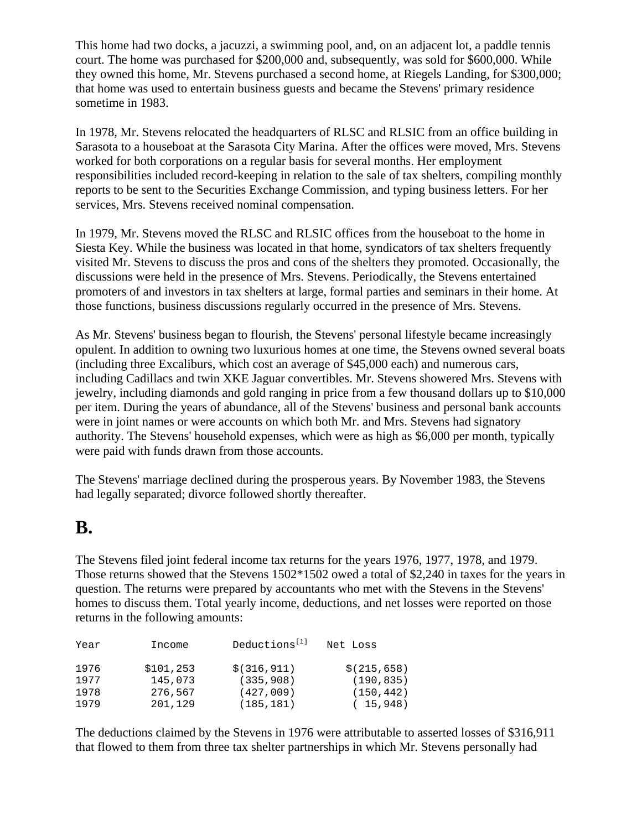This home had two docks, a jacuzzi, a swimming pool, and, on an adjacent lot, a paddle tennis court. The home was purchased for \$200,000 and, subsequently, was sold for \$600,000. While they owned this home, Mr. Stevens purchased a second home, at Riegels Landing, for \$300,000; that home was used to entertain business guests and became the Stevens' primary residence sometime in 1983.

In 1978, Mr. Stevens relocated the headquarters of RLSC and RLSIC from an office building in Sarasota to a houseboat at the Sarasota City Marina. After the offices were moved, Mrs. Stevens worked for both corporations on a regular basis for several months. Her employment responsibilities included record-keeping in relation to the sale of tax shelters, compiling monthly reports to be sent to the Securities Exchange Commission, and typing business letters. For her services, Mrs. Stevens received nominal compensation.

In 1979, Mr. Stevens moved the RLSC and RLSIC offices from the houseboat to the home in Siesta Key. While the business was located in that home, syndicators of tax shelters frequently visited Mr. Stevens to discuss the pros and cons of the shelters they promoted. Occasionally, the discussions were held in the presence of Mrs. Stevens. Periodically, the Stevens entertained promoters of and investors in tax shelters at large, formal parties and seminars in their home. At those functions, business discussions regularly occurred in the presence of Mrs. Stevens.

As Mr. Stevens' business began to flourish, the Stevens' personal lifestyle became increasingly opulent. In addition to owning two luxurious homes at one time, the Stevens owned several boats (including three Excaliburs, which cost an average of \$45,000 each) and numerous cars, including Cadillacs and twin XKE Jaguar convertibles. Mr. Stevens showered Mrs. Stevens with jewelry, including diamonds and gold ranging in price from a few thousand dollars up to \$10,000 per item. During the years of abundance, all of the Stevens' business and personal bank accounts were in joint names or were accounts on which both Mr. and Mrs. Stevens had signatory authority. The Stevens' household expenses, which were as high as \$6,000 per month, typically were paid with funds drawn from those accounts.

The Stevens' marriage declined during the prosperous years. By November 1983, the Stevens had legally separated; divorce followed shortly thereafter.

## **B.**

The Stevens filed joint federal income tax returns for the years 1976, 1977, 1978, and 1979. Those returns showed that the Stevens 1502\*1502 owed a total of \$2,240 in taxes for the years in question. The returns were prepared by accountants who met with the Stevens in the Stevens' homes to discuss them. Total yearly income, deductions, and net losses were reported on those returns in the following amounts:

| Year | Income     | Deductions <sup>[1]</sup> | Net Loss     |
|------|------------|---------------------------|--------------|
| 1976 | \$101, 253 | \$(316, 911)              | \$(215, 658) |
| 1977 | 145,073    | (335, 908)                | (190.835)    |
| 1978 | 276,567    | (427,009)                 | (150, 442)   |
| 1979 | 201,129    | (185, 181)                | (15, 948)    |

The deductions claimed by the Stevens in 1976 were attributable to asserted losses of \$316,911 that flowed to them from three tax shelter partnerships in which Mr. Stevens personally had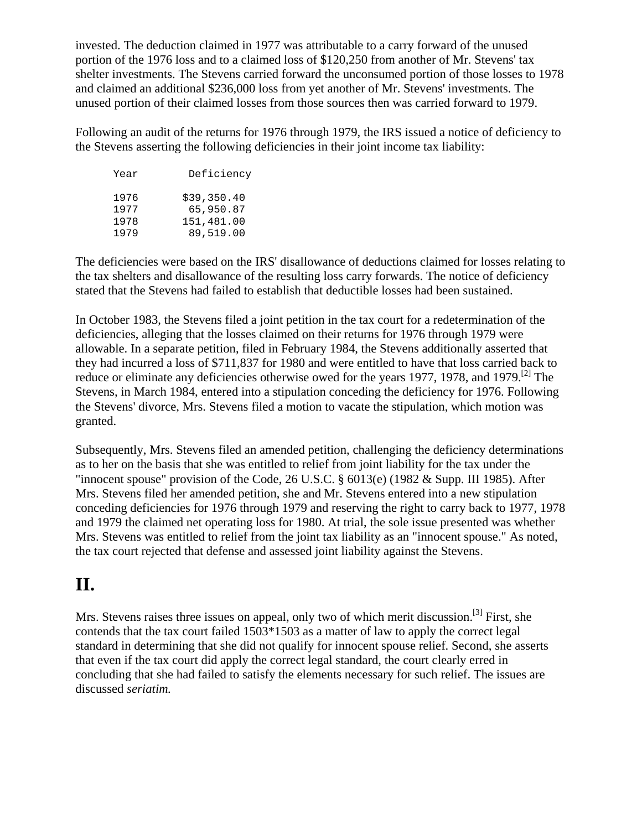invested. The deduction claimed in 1977 was attributable to a carry forward of the unused portion of the 1976 loss and to a claimed loss of \$120,250 from another of Mr. Stevens' tax shelter investments. The Stevens carried forward the unconsumed portion of those losses to 1978 and claimed an additional \$236,000 loss from yet another of Mr. Stevens' investments. The unused portion of their claimed losses from those sources then was carried forward to 1979.

Following an audit of the returns for 1976 through 1979, the IRS issued a notice of deficiency to the Stevens asserting the following deficiencies in their joint income tax liability:

| Year | Deficiency  |  |
|------|-------------|--|
| 1976 | \$39,350.40 |  |
| 1977 | 65,950.87   |  |
| 1978 | 151,481.00  |  |
| 1979 | 89,519.00   |  |
|      |             |  |

The deficiencies were based on the IRS' disallowance of deductions claimed for losses relating to the tax shelters and disallowance of the resulting loss carry forwards. The notice of deficiency stated that the Stevens had failed to establish that deductible losses had been sustained.

In October 1983, the Stevens filed a joint petition in the tax court for a redetermination of the deficiencies, alleging that the losses claimed on their returns for 1976 through 1979 were allowable. In a separate petition, filed in February 1984, the Stevens additionally asserted that they had incurred a loss of \$711,837 for 1980 and were entitled to have that loss carried back to reduce or eliminate any deficiencies otherwise owed for the years 1977, 1978, and 1979.<sup>[2]</sup> The Stevens, in March 1984, entered into a stipulation conceding the deficiency for 1976. Following the Stevens' divorce, Mrs. Stevens filed a motion to vacate the stipulation, which motion was granted.

Subsequently, Mrs. Stevens filed an amended petition, challenging the deficiency determinations as to her on the basis that she was entitled to relief from joint liability for the tax under the "innocent spouse" provision of the Code, 26 U.S.C.  $\S$  6013(e) (1982 & Supp. III 1985). After Mrs. Stevens filed her amended petition, she and Mr. Stevens entered into a new stipulation conceding deficiencies for 1976 through 1979 and reserving the right to carry back to 1977, 1978 and 1979 the claimed net operating loss for 1980. At trial, the sole issue presented was whether Mrs. Stevens was entitled to relief from the joint tax liability as an "innocent spouse." As noted, the tax court rejected that defense and assessed joint liability against the Stevens.

## **II.**

Mrs. Stevens raises three issues on appeal, only two of which merit discussion.<sup>[3]</sup> First, she contends that the tax court failed 1503\*1503 as a matter of law to apply the correct legal standard in determining that she did not qualify for innocent spouse relief. Second, she asserts that even if the tax court did apply the correct legal standard, the court clearly erred in concluding that she had failed to satisfy the elements necessary for such relief. The issues are discussed *seriatim.*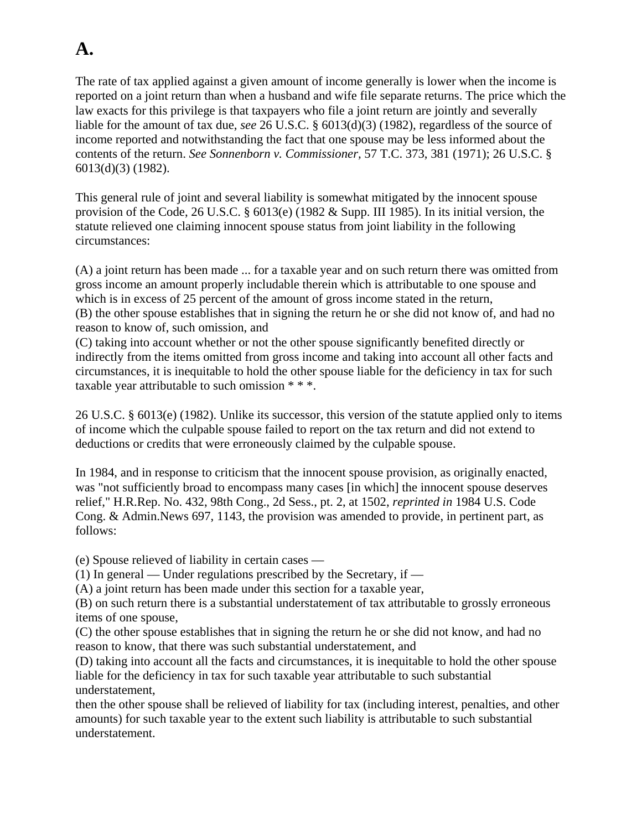# **A.**

The rate of tax applied against a given amount of income generally is lower when the income is reported on a joint return than when a husband and wife file separate returns. The price which the law exacts for this privilege is that taxpayers who file a joint return are jointly and severally liable for the amount of tax due, *see* 26 U.S.C. § 6013(d)(3) (1982), regardless of the source of income reported and notwithstanding the fact that one spouse may be less informed about the contents of the return. *See Sonnenborn v. Commissioner,* 57 T.C. 373, 381 (1971); 26 U.S.C. § 6013(d)(3) (1982).

This general rule of joint and several liability is somewhat mitigated by the innocent spouse provision of the Code, 26 U.S.C. § 6013(e) (1982 & Supp. III 1985). In its initial version, the statute relieved one claiming innocent spouse status from joint liability in the following circumstances:

(A) a joint return has been made ... for a taxable year and on such return there was omitted from gross income an amount properly includable therein which is attributable to one spouse and which is in excess of 25 percent of the amount of gross income stated in the return, (B) the other spouse establishes that in signing the return he or she did not know of, and had no reason to know of, such omission, and

(C) taking into account whether or not the other spouse significantly benefited directly or indirectly from the items omitted from gross income and taking into account all other facts and circumstances, it is inequitable to hold the other spouse liable for the deficiency in tax for such taxable year attributable to such omission \* \* \*.

26 U.S.C. § 6013(e) (1982). Unlike its successor, this version of the statute applied only to items of income which the culpable spouse failed to report on the tax return and did not extend to deductions or credits that were erroneously claimed by the culpable spouse.

In 1984, and in response to criticism that the innocent spouse provision, as originally enacted, was "not sufficiently broad to encompass many cases [in which] the innocent spouse deserves relief," H.R.Rep. No. 432, 98th Cong., 2d Sess., pt. 2, at 1502, *reprinted in* 1984 U.S. Code Cong. & Admin.News 697, 1143, the provision was amended to provide, in pertinent part, as follows:

(e) Spouse relieved of liability in certain cases —

(1) In general — Under regulations prescribed by the Secretary, if —

(A) a joint return has been made under this section for a taxable year,

(B) on such return there is a substantial understatement of tax attributable to grossly erroneous items of one spouse,

(C) the other spouse establishes that in signing the return he or she did not know, and had no reason to know, that there was such substantial understatement, and

(D) taking into account all the facts and circumstances, it is inequitable to hold the other spouse liable for the deficiency in tax for such taxable year attributable to such substantial understatement,

then the other spouse shall be relieved of liability for tax (including interest, penalties, and other amounts) for such taxable year to the extent such liability is attributable to such substantial understatement.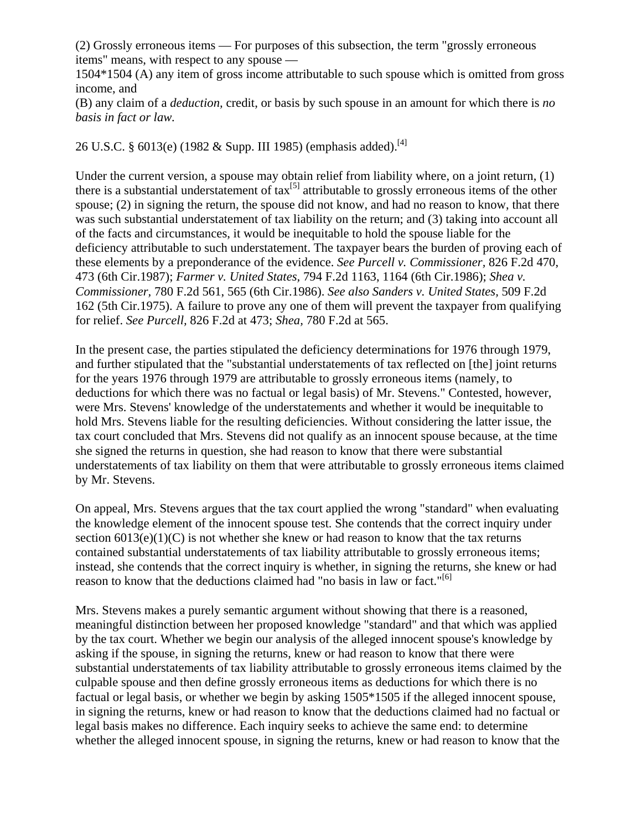(2) Grossly erroneous items — For purposes of this subsection, the term "grossly erroneous items" means, with respect to any spouse —

1504\*1504 (A) any item of gross income attributable to such spouse which is omitted from gross income, and

(B) any claim of a *deduction,* credit, or basis by such spouse in an amount for which there is *no basis in fact or law.*

26 U.S.C. § 6013(e) (1982 & Supp. III 1985) (emphasis added).<sup>[4]</sup>

Under the current version, a spouse may obtain relief from liability where, on a joint return, (1) there is a substantial understatement of  $\text{tax}^{[5]}$  attributable to grossly erroneous items of the other spouse; (2) in signing the return, the spouse did not know, and had no reason to know, that there was such substantial understatement of tax liability on the return; and (3) taking into account all of the facts and circumstances, it would be inequitable to hold the spouse liable for the deficiency attributable to such understatement. The taxpayer bears the burden of proving each of these elements by a preponderance of the evidence. *See Purcell v. Commissioner,* 826 F.2d 470, 473 (6th Cir.1987); *Farmer v. United States,* 794 F.2d 1163, 1164 (6th Cir.1986); *Shea v. Commissioner,* 780 F.2d 561, 565 (6th Cir.1986). *See also Sanders v. United States,* 509 F.2d 162 (5th Cir.1975). A failure to prove any one of them will prevent the taxpayer from qualifying for relief. *See Purcell,* 826 F.2d at 473; *Shea,* 780 F.2d at 565.

In the present case, the parties stipulated the deficiency determinations for 1976 through 1979, and further stipulated that the "substantial understatements of tax reflected on [the] joint returns for the years 1976 through 1979 are attributable to grossly erroneous items (namely, to deductions for which there was no factual or legal basis) of Mr. Stevens." Contested, however, were Mrs. Stevens' knowledge of the understatements and whether it would be inequitable to hold Mrs. Stevens liable for the resulting deficiencies. Without considering the latter issue, the tax court concluded that Mrs. Stevens did not qualify as an innocent spouse because, at the time she signed the returns in question, she had reason to know that there were substantial understatements of tax liability on them that were attributable to grossly erroneous items claimed by Mr. Stevens.

On appeal, Mrs. Stevens argues that the tax court applied the wrong "standard" when evaluating the knowledge element of the innocent spouse test. She contends that the correct inquiry under section  $6013(e)(1)(C)$  is not whether she knew or had reason to know that the tax returns contained substantial understatements of tax liability attributable to grossly erroneous items; instead, she contends that the correct inquiry is whether, in signing the returns, she knew or had reason to know that the deductions claimed had "no basis in law or fact."<sup>[6]</sup>

Mrs. Stevens makes a purely semantic argument without showing that there is a reasoned, meaningful distinction between her proposed knowledge "standard" and that which was applied by the tax court. Whether we begin our analysis of the alleged innocent spouse's knowledge by asking if the spouse, in signing the returns, knew or had reason to know that there were substantial understatements of tax liability attributable to grossly erroneous items claimed by the culpable spouse and then define grossly erroneous items as deductions for which there is no factual or legal basis, or whether we begin by asking 1505\*1505 if the alleged innocent spouse, in signing the returns, knew or had reason to know that the deductions claimed had no factual or legal basis makes no difference. Each inquiry seeks to achieve the same end: to determine whether the alleged innocent spouse, in signing the returns, knew or had reason to know that the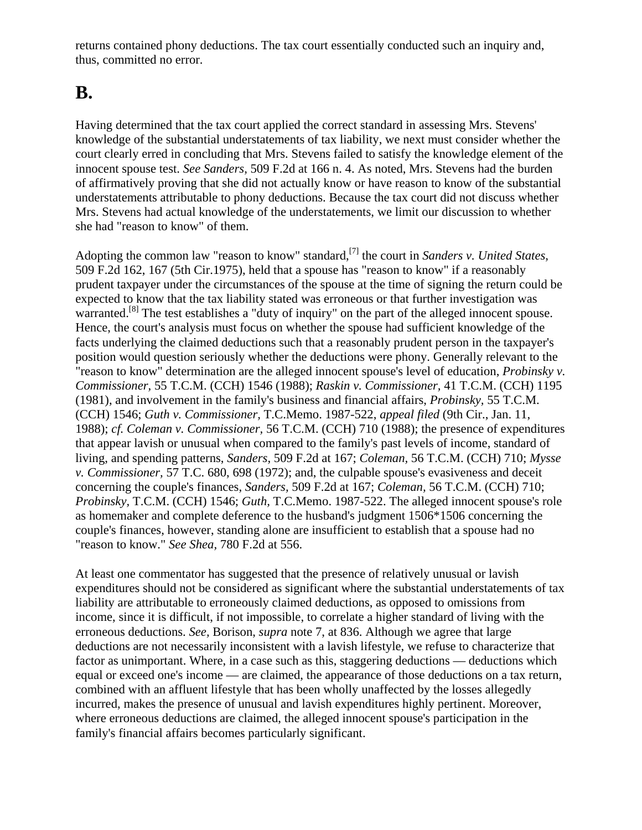returns contained phony deductions. The tax court essentially conducted such an inquiry and, thus, committed no error.

## **B.**

Having determined that the tax court applied the correct standard in assessing Mrs. Stevens' knowledge of the substantial understatements of tax liability, we next must consider whether the court clearly erred in concluding that Mrs. Stevens failed to satisfy the knowledge element of the innocent spouse test. *See Sanders,* 509 F.2d at 166 n. 4. As noted, Mrs. Stevens had the burden of affirmatively proving that she did not actually know or have reason to know of the substantial understatements attributable to phony deductions. Because the tax court did not discuss whether Mrs. Stevens had actual knowledge of the understatements, we limit our discussion to whether she had "reason to know" of them.

Adopting the common law "reason to know" standard,<sup>[7]</sup> the court in *Sanders v. United States,* 509 F.2d 162, 167 (5th Cir.1975), held that a spouse has "reason to know" if a reasonably prudent taxpayer under the circumstances of the spouse at the time of signing the return could be expected to know that the tax liability stated was erroneous or that further investigation was warranted.<sup>[8]</sup> The test establishes a "duty of inquiry" on the part of the alleged innocent spouse. Hence, the court's analysis must focus on whether the spouse had sufficient knowledge of the facts underlying the claimed deductions such that a reasonably prudent person in the taxpayer's position would question seriously whether the deductions were phony. Generally relevant to the "reason to know" determination are the alleged innocent spouse's level of education, *Probinsky v. Commissioner,* 55 T.C.M. (CCH) 1546 (1988); *Raskin v. Commissioner,* 41 T.C.M. (CCH) 1195 (1981), and involvement in the family's business and financial affairs, *Probinsky,* 55 T.C.M. (CCH) 1546; *Guth v. Commissioner,* T.C.Memo. 1987-522, *appeal filed* (9th Cir., Jan. 11, 1988); *cf. Coleman v. Commissioner,* 56 T.C.M. (CCH) 710 (1988); the presence of expenditures that appear lavish or unusual when compared to the family's past levels of income, standard of living, and spending patterns, *Sanders,* 509 F.2d at 167; *Coleman,* 56 T.C.M. (CCH) 710; *Mysse v. Commissioner,* 57 T.C. 680, 698 (1972); and, the culpable spouse's evasiveness and deceit concerning the couple's finances, *Sanders,* 509 F.2d at 167; *Coleman,* 56 T.C.M. (CCH) 710; *Probinsky,* T.C.M. (CCH) 1546; *Guth,* T.C.Memo. 1987-522. The alleged innocent spouse's role as homemaker and complete deference to the husband's judgment 1506\*1506 concerning the couple's finances, however, standing alone are insufficient to establish that a spouse had no "reason to know." *See Shea,* 780 F.2d at 556.

At least one commentator has suggested that the presence of relatively unusual or lavish expenditures should not be considered as significant where the substantial understatements of tax liability are attributable to erroneously claimed deductions, as opposed to omissions from income, since it is difficult, if not impossible, to correlate a higher standard of living with the erroneous deductions. *See,* Borison, *supra* note 7, at 836. Although we agree that large deductions are not necessarily inconsistent with a lavish lifestyle, we refuse to characterize that factor as unimportant. Where, in a case such as this, staggering deductions — deductions which equal or exceed one's income — are claimed, the appearance of those deductions on a tax return, combined with an affluent lifestyle that has been wholly unaffected by the losses allegedly incurred, makes the presence of unusual and lavish expenditures highly pertinent. Moreover, where erroneous deductions are claimed, the alleged innocent spouse's participation in the family's financial affairs becomes particularly significant.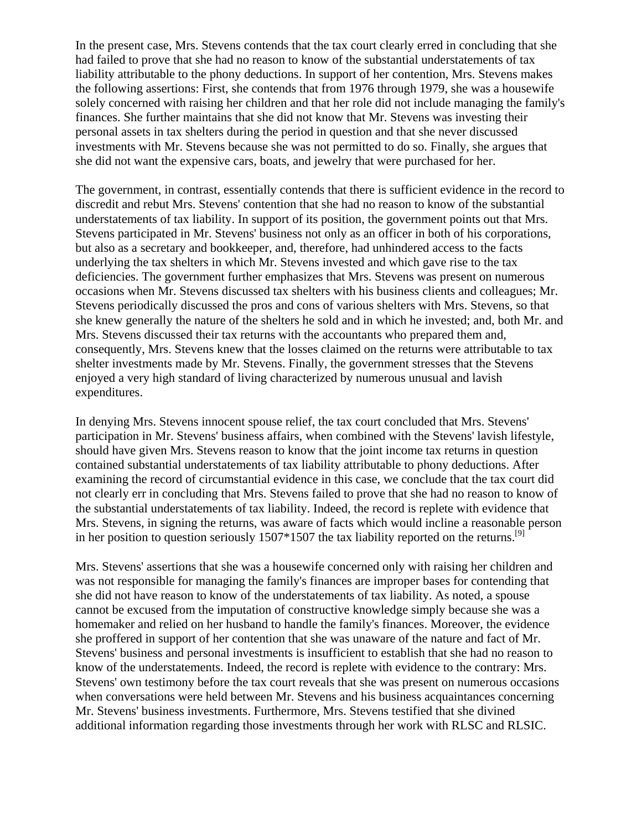In the present case, Mrs. Stevens contends that the tax court clearly erred in concluding that she had failed to prove that she had no reason to know of the substantial understatements of tax liability attributable to the phony deductions. In support of her contention, Mrs. Stevens makes the following assertions: First, she contends that from 1976 through 1979, she was a housewife solely concerned with raising her children and that her role did not include managing the family's finances. She further maintains that she did not know that Mr. Stevens was investing their personal assets in tax shelters during the period in question and that she never discussed investments with Mr. Stevens because she was not permitted to do so. Finally, she argues that she did not want the expensive cars, boats, and jewelry that were purchased for her.

The government, in contrast, essentially contends that there is sufficient evidence in the record to discredit and rebut Mrs. Stevens' contention that she had no reason to know of the substantial understatements of tax liability. In support of its position, the government points out that Mrs. Stevens participated in Mr. Stevens' business not only as an officer in both of his corporations, but also as a secretary and bookkeeper, and, therefore, had unhindered access to the facts underlying the tax shelters in which Mr. Stevens invested and which gave rise to the tax deficiencies. The government further emphasizes that Mrs. Stevens was present on numerous occasions when Mr. Stevens discussed tax shelters with his business clients and colleagues; Mr. Stevens periodically discussed the pros and cons of various shelters with Mrs. Stevens, so that she knew generally the nature of the shelters he sold and in which he invested; and, both Mr. and Mrs. Stevens discussed their tax returns with the accountants who prepared them and, consequently, Mrs. Stevens knew that the losses claimed on the returns were attributable to tax shelter investments made by Mr. Stevens. Finally, the government stresses that the Stevens enjoyed a very high standard of living characterized by numerous unusual and lavish expenditures.

In denying Mrs. Stevens innocent spouse relief, the tax court concluded that Mrs. Stevens' participation in Mr. Stevens' business affairs, when combined with the Stevens' lavish lifestyle, should have given Mrs. Stevens reason to know that the joint income tax returns in question contained substantial understatements of tax liability attributable to phony deductions. After examining the record of circumstantial evidence in this case, we conclude that the tax court did not clearly err in concluding that Mrs. Stevens failed to prove that she had no reason to know of the substantial understatements of tax liability. Indeed, the record is replete with evidence that Mrs. Stevens, in signing the returns, was aware of facts which would incline a reasonable person in her position to question seriously  $1507*1507$  the tax liability reported on the returns.<sup>[9]</sup>

Mrs. Stevens' assertions that she was a housewife concerned only with raising her children and was not responsible for managing the family's finances are improper bases for contending that she did not have reason to know of the understatements of tax liability. As noted, a spouse cannot be excused from the imputation of constructive knowledge simply because she was a homemaker and relied on her husband to handle the family's finances. Moreover, the evidence she proffered in support of her contention that she was unaware of the nature and fact of Mr. Stevens' business and personal investments is insufficient to establish that she had no reason to know of the understatements. Indeed, the record is replete with evidence to the contrary: Mrs. Stevens' own testimony before the tax court reveals that she was present on numerous occasions when conversations were held between Mr. Stevens and his business acquaintances concerning Mr. Stevens' business investments. Furthermore, Mrs. Stevens testified that she divined additional information regarding those investments through her work with RLSC and RLSIC.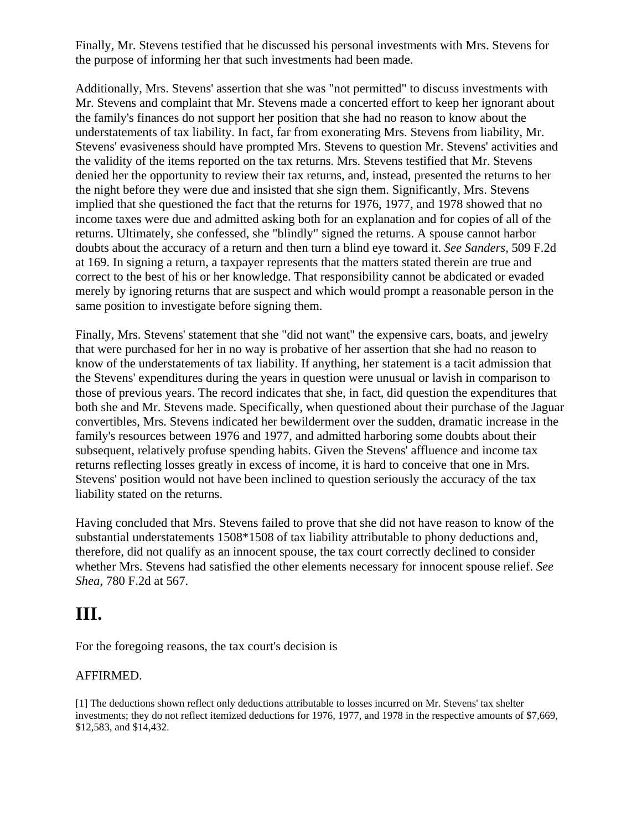Finally, Mr. Stevens testified that he discussed his personal investments with Mrs. Stevens for the purpose of informing her that such investments had been made.

Additionally, Mrs. Stevens' assertion that she was "not permitted" to discuss investments with Mr. Stevens and complaint that Mr. Stevens made a concerted effort to keep her ignorant about the family's finances do not support her position that she had no reason to know about the understatements of tax liability. In fact, far from exonerating Mrs. Stevens from liability, Mr. Stevens' evasiveness should have prompted Mrs. Stevens to question Mr. Stevens' activities and the validity of the items reported on the tax returns. Mrs. Stevens testified that Mr. Stevens denied her the opportunity to review their tax returns, and, instead, presented the returns to her the night before they were due and insisted that she sign them. Significantly, Mrs. Stevens implied that she questioned the fact that the returns for 1976, 1977, and 1978 showed that no income taxes were due and admitted asking both for an explanation and for copies of all of the returns. Ultimately, she confessed, she "blindly" signed the returns. A spouse cannot harbor doubts about the accuracy of a return and then turn a blind eye toward it. *See Sanders,* 509 F.2d at 169. In signing a return, a taxpayer represents that the matters stated therein are true and correct to the best of his or her knowledge. That responsibility cannot be abdicated or evaded merely by ignoring returns that are suspect and which would prompt a reasonable person in the same position to investigate before signing them.

Finally, Mrs. Stevens' statement that she "did not want" the expensive cars, boats, and jewelry that were purchased for her in no way is probative of her assertion that she had no reason to know of the understatements of tax liability. If anything, her statement is a tacit admission that the Stevens' expenditures during the years in question were unusual or lavish in comparison to those of previous years. The record indicates that she, in fact, did question the expenditures that both she and Mr. Stevens made. Specifically, when questioned about their purchase of the Jaguar convertibles, Mrs. Stevens indicated her bewilderment over the sudden, dramatic increase in the family's resources between 1976 and 1977, and admitted harboring some doubts about their subsequent, relatively profuse spending habits. Given the Stevens' affluence and income tax returns reflecting losses greatly in excess of income, it is hard to conceive that one in Mrs. Stevens' position would not have been inclined to question seriously the accuracy of the tax liability stated on the returns.

Having concluded that Mrs. Stevens failed to prove that she did not have reason to know of the substantial understatements 1508\*1508 of tax liability attributable to phony deductions and, therefore, did not qualify as an innocent spouse, the tax court correctly declined to consider whether Mrs. Stevens had satisfied the other elements necessary for innocent spouse relief. *See Shea,* 780 F.2d at 567.

## **III.**

For the foregoing reasons, the tax court's decision is

#### AFFIRMED.

[1] The deductions shown reflect only deductions attributable to losses incurred on Mr. Stevens' tax shelter investments; they do not reflect itemized deductions for 1976, 1977, and 1978 in the respective amounts of \$7,669, \$12,583, and \$14,432.